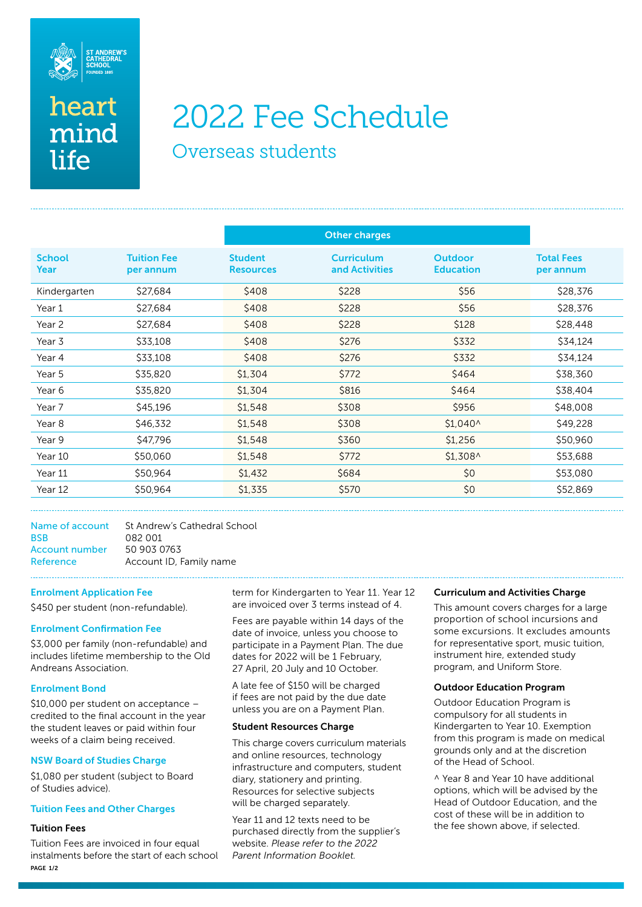

# heart mind **life**

# 2022 Fee Schedule Overseas students

Other charges **School** Year Tuition Fee per annum Student Resources **Curriculum** and Activities **Outdoor** Education Total Fees per annum Kindergarten \$27,684 \$408 \$228 \$56 \$56 \$28,376 Year 1 \$27,684 \$2408 \$228 \$256 \$56 \$28,376 Year 2 \$27,684 \$408 \$228 \$128 \$28,448 Year 3 \$33,108 \$408 \$276 \$332 \$34,124 Year 4 \$33,108 \$408 \$276 \$332 \$34,124 Year 5 \$35,820 <mark> \$1,304 \$772 \$464 \$</mark>38,360 Year 6 \$35,820 <mark> \$1,304 \$816 \$464 \$38,404</mark> Year 7 \$45,196 <mark> \$1,548 \$308 \$956 \$48</mark>,008 Year 8 \$46,332 \$1,548 \$308 \$1,040^ \$49,228 Year 9 \$47,796 <mark> \$1,548 \$360</mark> \$1,256 \$50,960 Year 10 \$50,060 <mark> \$1,548 \$772 \$1,308^</mark> \$53,688 Year 11 \$50,964 <mark> \$1,432 \$684</mark> \$0 \$53,080 Year 12 \$50,964 \$1,335 \$570 \$0 \$52,869

Name of account St Andrew's Cathedral School

BSB 082 001 Account number 50 903 0763

Reference Account ID, Family name

# Enrolment Application Fee

\$450 per student (non-refundable).

# Enrolment Confirmation Fee

\$3,000 per family (non-refundable) and includes lifetime membership to the Old Andreans Association.

# Enrolment Bond

\$10,000 per student on acceptance – credited to the final account in the year the student leaves or paid within four weeks of a claim being received.

#### NSW Board of Studies Charge

\$1,080 per student (subject to Board of Studies advice).

#### Tuition Fees and Other Charges

#### Tuition Fees

Tuition Fees are invoiced in four equal instalments before the start of each school PAGE 1/2

term for Kindergarten to Year 11. Year 12 are invoiced over 3 terms instead of 4.

Fees are payable within 14 days of the date of invoice, unless you choose to participate in a Payment Plan. The due dates for 2022 will be 1 February, 27 April, 20 July and 10 October.

A late fee of \$150 will be charged if fees are not paid by the due date unless you are on a Payment Plan.

#### Student Resources Charge

This charge covers curriculum materials and online resources, technology infrastructure and computers, student diary, stationery and printing. Resources for selective subjects will be charged separately.

Year 11 and 12 texts need to be purchased directly from the supplier's website. *Please refer to the 2022 Parent Information Booklet.* 

#### Curriculum and Activities Charge

This amount covers charges for a large proportion of school incursions and some excursions. It excludes amounts for representative sport, music tuition, instrument hire, extended study program, and Uniform Store.

#### Outdoor Education Program

Outdoor Education Program is compulsory for all students in Kindergarten to Year 10. Exemption from this program is made on medical grounds only and at the discretion of the Head of School.

^ Year 8 and Year 10 have additional options, which will be advised by the Head of Outdoor Education, and the cost of these will be in addition to the fee shown above, if selected.